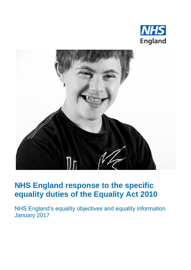



# **NHS England response to the specific equality duties of the Equality Act 2010**

NHS England's equality objectives and equality information January 2017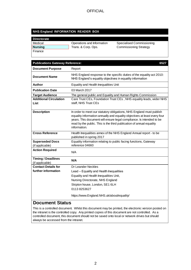#### **NHS England INFORMATION READER BOX**

| <b>Directorate</b> |                            |                               |
|--------------------|----------------------------|-------------------------------|
| Medical            | Operations and Information | Specialised Commissioning     |
| Nursing            | Trans. & Corp. Ops.        | <b>Commissioning Strategy</b> |
| l Finance          |                            |                               |

| <b>Publications Gateway Reference:</b>       | 6527                                                                                                                                                                                                                                                                                                              |
|----------------------------------------------|-------------------------------------------------------------------------------------------------------------------------------------------------------------------------------------------------------------------------------------------------------------------------------------------------------------------|
| <b>Document Purpose</b>                      | Report                                                                                                                                                                                                                                                                                                            |
| <b>Document Name</b>                         | NHS England response to the specific duties of the equality act 2010:<br>NHS England's equality objectives in equality information                                                                                                                                                                                |
| <b>Author</b>                                | Equality and Health Inequalities Unit                                                                                                                                                                                                                                                                             |
| <b>Publication Date</b>                      | 03 March 2017                                                                                                                                                                                                                                                                                                     |
| <b>Target Audience</b>                       | The general public and Equality and Human Rights Commission                                                                                                                                                                                                                                                       |
| <b>Additional Circulation</b><br>List        | Care Trust CEs, Foundation Trust CEs, NHS equality leads, wider NHS<br>staff, NHS Trust CEs                                                                                                                                                                                                                       |
| <b>Description</b>                           | In order to meet our statutory obligations, NHS England must publish<br>equality information annually and equality objectives at least every four<br>years. This document will ensure legal compliance. Is intended to be<br>read by the public. This is the third publication of annual equality<br>information. |
| <b>Cross Reference</b>                       | Health Inequalities annex of the NHS England Annual report - to be<br>published in spring 2017                                                                                                                                                                                                                    |
| <b>Superseded Docs</b><br>(if applicable)    | Equality information relating to public facing functions, Gateway<br>reference 04660                                                                                                                                                                                                                              |
| <b>Action Required</b>                       | N/A                                                                                                                                                                                                                                                                                                               |
| <b>Timing / Deadlines</b><br>(if applicable) | N/A                                                                                                                                                                                                                                                                                                               |
| <b>Contact Details for</b>                   | Dr Leander Neckles                                                                                                                                                                                                                                                                                                |
| further information                          | Lead - Equality and Health Inequalities                                                                                                                                                                                                                                                                           |
|                                              | Equality and Health Inequalities Unit,                                                                                                                                                                                                                                                                            |
|                                              | Nursing Directorate, NHS England                                                                                                                                                                                                                                                                                  |
|                                              | Skipton house, London, SE1 6LH                                                                                                                                                                                                                                                                                    |
|                                              | 01138253627                                                                                                                                                                                                                                                                                                       |
|                                              | https://www.England.NHS.uk/about/equality/                                                                                                                                                                                                                                                                        |
| <b>Document Status</b>                       |                                                                                                                                                                                                                                                                                                                   |

#### ยแ อเสเนธ

This is a controlled document. Whilst this document may be printed, the electronic version posted on the intranet is the controlled copy. Any printed copies of this document are not controlled. As a controlled document, this document should not be saved onto local or network drives but should always be accessed from the intranet.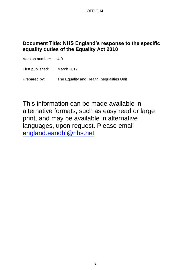# **Document Title: NHS England's response to the specific equality duties of the Equality Act 2010**

Version number: 4.0

First published: March 2017

Prepared by: The Equality and Health Inequalities Unit

This information can be made available in alternative formats, such as easy read or large print, and may be available in alternative languages, upon request. Please email [england.eandhi@nhs.net](mailto:england.eandhi@nhs.net)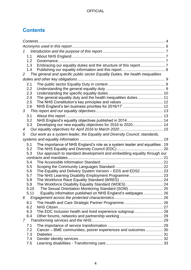# <span id="page-3-0"></span>**Contents**

| 1<br>1.1<br>1.2<br>1.3<br>1.4<br>The general and specific public sector Equality Duties, the health inequalities<br>$\overline{2}$<br>2.1<br>2.2<br>2.3<br>2.4<br>2.5<br>2.6<br>3<br>3.1<br>NHS England's equality objectives published in 2014 14<br>3.2<br>Developing our new equality objectives for 2016 to 2020 14<br>3.3<br>4<br>Our work as a system leader, the Equality and Diversity Council, standards,<br>5<br>The importance of NHS England's role as a system leader and equalities . 19<br>5.1<br>5.2<br>Our approach to standard development and embedding equality through our<br>5.3<br>5.4<br>5.5<br>The Equality and Delivery System Version - EDS and EDS2 23<br>5.6<br>5.7<br>5.8<br>5.9<br>The Sexual Orientation Monitoring Standard (SOM) 25<br>5.10<br>Equality information published on NHS England's webpages 26<br>5.11<br>6<br>6.1<br>6.2<br>The EDC Inclusion health and lived experience subgroup  28<br>6.3<br>6.4<br>$\overline{7}$ |     |  |
|-----------------------------------------------------------------------------------------------------------------------------------------------------------------------------------------------------------------------------------------------------------------------------------------------------------------------------------------------------------------------------------------------------------------------------------------------------------------------------------------------------------------------------------------------------------------------------------------------------------------------------------------------------------------------------------------------------------------------------------------------------------------------------------------------------------------------------------------------------------------------------------------------------------------------------------------------------------------------|-----|--|
|                                                                                                                                                                                                                                                                                                                                                                                                                                                                                                                                                                                                                                                                                                                                                                                                                                                                                                                                                                       |     |  |
|                                                                                                                                                                                                                                                                                                                                                                                                                                                                                                                                                                                                                                                                                                                                                                                                                                                                                                                                                                       |     |  |
|                                                                                                                                                                                                                                                                                                                                                                                                                                                                                                                                                                                                                                                                                                                                                                                                                                                                                                                                                                       |     |  |
|                                                                                                                                                                                                                                                                                                                                                                                                                                                                                                                                                                                                                                                                                                                                                                                                                                                                                                                                                                       |     |  |
|                                                                                                                                                                                                                                                                                                                                                                                                                                                                                                                                                                                                                                                                                                                                                                                                                                                                                                                                                                       |     |  |
|                                                                                                                                                                                                                                                                                                                                                                                                                                                                                                                                                                                                                                                                                                                                                                                                                                                                                                                                                                       |     |  |
|                                                                                                                                                                                                                                                                                                                                                                                                                                                                                                                                                                                                                                                                                                                                                                                                                                                                                                                                                                       |     |  |
|                                                                                                                                                                                                                                                                                                                                                                                                                                                                                                                                                                                                                                                                                                                                                                                                                                                                                                                                                                       |     |  |
|                                                                                                                                                                                                                                                                                                                                                                                                                                                                                                                                                                                                                                                                                                                                                                                                                                                                                                                                                                       |     |  |
|                                                                                                                                                                                                                                                                                                                                                                                                                                                                                                                                                                                                                                                                                                                                                                                                                                                                                                                                                                       |     |  |
|                                                                                                                                                                                                                                                                                                                                                                                                                                                                                                                                                                                                                                                                                                                                                                                                                                                                                                                                                                       |     |  |
|                                                                                                                                                                                                                                                                                                                                                                                                                                                                                                                                                                                                                                                                                                                                                                                                                                                                                                                                                                       |     |  |
|                                                                                                                                                                                                                                                                                                                                                                                                                                                                                                                                                                                                                                                                                                                                                                                                                                                                                                                                                                       |     |  |
|                                                                                                                                                                                                                                                                                                                                                                                                                                                                                                                                                                                                                                                                                                                                                                                                                                                                                                                                                                       |     |  |
|                                                                                                                                                                                                                                                                                                                                                                                                                                                                                                                                                                                                                                                                                                                                                                                                                                                                                                                                                                       |     |  |
|                                                                                                                                                                                                                                                                                                                                                                                                                                                                                                                                                                                                                                                                                                                                                                                                                                                                                                                                                                       |     |  |
|                                                                                                                                                                                                                                                                                                                                                                                                                                                                                                                                                                                                                                                                                                                                                                                                                                                                                                                                                                       |     |  |
|                                                                                                                                                                                                                                                                                                                                                                                                                                                                                                                                                                                                                                                                                                                                                                                                                                                                                                                                                                       |     |  |
|                                                                                                                                                                                                                                                                                                                                                                                                                                                                                                                                                                                                                                                                                                                                                                                                                                                                                                                                                                       |     |  |
|                                                                                                                                                                                                                                                                                                                                                                                                                                                                                                                                                                                                                                                                                                                                                                                                                                                                                                                                                                       |     |  |
|                                                                                                                                                                                                                                                                                                                                                                                                                                                                                                                                                                                                                                                                                                                                                                                                                                                                                                                                                                       |     |  |
|                                                                                                                                                                                                                                                                                                                                                                                                                                                                                                                                                                                                                                                                                                                                                                                                                                                                                                                                                                       |     |  |
|                                                                                                                                                                                                                                                                                                                                                                                                                                                                                                                                                                                                                                                                                                                                                                                                                                                                                                                                                                       |     |  |
|                                                                                                                                                                                                                                                                                                                                                                                                                                                                                                                                                                                                                                                                                                                                                                                                                                                                                                                                                                       |     |  |
|                                                                                                                                                                                                                                                                                                                                                                                                                                                                                                                                                                                                                                                                                                                                                                                                                                                                                                                                                                       |     |  |
|                                                                                                                                                                                                                                                                                                                                                                                                                                                                                                                                                                                                                                                                                                                                                                                                                                                                                                                                                                       |     |  |
|                                                                                                                                                                                                                                                                                                                                                                                                                                                                                                                                                                                                                                                                                                                                                                                                                                                                                                                                                                       |     |  |
|                                                                                                                                                                                                                                                                                                                                                                                                                                                                                                                                                                                                                                                                                                                                                                                                                                                                                                                                                                       |     |  |
|                                                                                                                                                                                                                                                                                                                                                                                                                                                                                                                                                                                                                                                                                                                                                                                                                                                                                                                                                                       |     |  |
|                                                                                                                                                                                                                                                                                                                                                                                                                                                                                                                                                                                                                                                                                                                                                                                                                                                                                                                                                                       |     |  |
|                                                                                                                                                                                                                                                                                                                                                                                                                                                                                                                                                                                                                                                                                                                                                                                                                                                                                                                                                                       |     |  |
|                                                                                                                                                                                                                                                                                                                                                                                                                                                                                                                                                                                                                                                                                                                                                                                                                                                                                                                                                                       |     |  |
|                                                                                                                                                                                                                                                                                                                                                                                                                                                                                                                                                                                                                                                                                                                                                                                                                                                                                                                                                                       |     |  |
|                                                                                                                                                                                                                                                                                                                                                                                                                                                                                                                                                                                                                                                                                                                                                                                                                                                                                                                                                                       |     |  |
|                                                                                                                                                                                                                                                                                                                                                                                                                                                                                                                                                                                                                                                                                                                                                                                                                                                                                                                                                                       |     |  |
|                                                                                                                                                                                                                                                                                                                                                                                                                                                                                                                                                                                                                                                                                                                                                                                                                                                                                                                                                                       |     |  |
|                                                                                                                                                                                                                                                                                                                                                                                                                                                                                                                                                                                                                                                                                                                                                                                                                                                                                                                                                                       |     |  |
|                                                                                                                                                                                                                                                                                                                                                                                                                                                                                                                                                                                                                                                                                                                                                                                                                                                                                                                                                                       |     |  |
|                                                                                                                                                                                                                                                                                                                                                                                                                                                                                                                                                                                                                                                                                                                                                                                                                                                                                                                                                                       |     |  |
|                                                                                                                                                                                                                                                                                                                                                                                                                                                                                                                                                                                                                                                                                                                                                                                                                                                                                                                                                                       | 7.1 |  |
| 7.2<br>Cancer – BME communities, poorer experiences and outcomes 30                                                                                                                                                                                                                                                                                                                                                                                                                                                                                                                                                                                                                                                                                                                                                                                                                                                                                                   |     |  |
| 7.3                                                                                                                                                                                                                                                                                                                                                                                                                                                                                                                                                                                                                                                                                                                                                                                                                                                                                                                                                                   |     |  |
| 7.4                                                                                                                                                                                                                                                                                                                                                                                                                                                                                                                                                                                                                                                                                                                                                                                                                                                                                                                                                                   |     |  |
| 7.5                                                                                                                                                                                                                                                                                                                                                                                                                                                                                                                                                                                                                                                                                                                                                                                                                                                                                                                                                                   |     |  |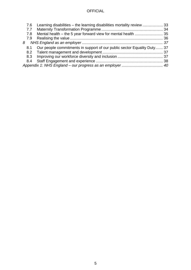<span id="page-4-0"></span>

| 7.6 |                                                                         |  |
|-----|-------------------------------------------------------------------------|--|
| 7.7 |                                                                         |  |
| 7.8 |                                                                         |  |
| 7.9 |                                                                         |  |
| 8   |                                                                         |  |
| 8.1 | Our people commitments in support of our public sector Equality Duty 37 |  |
| 8.2 |                                                                         |  |
| 8.3 |                                                                         |  |
| 8.4 |                                                                         |  |
|     |                                                                         |  |
|     |                                                                         |  |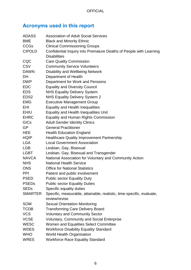# **Acronyms used in this report**

| <b>ADASS</b>     | <b>Association of Adult Social Services</b>                           |
|------------------|-----------------------------------------------------------------------|
| <b>BME</b>       | <b>Black and Minority Ethnic</b>                                      |
| <b>CCGs</b>      | <b>Clinical Commissioning Groups</b>                                  |
| <b>CIPOLD</b>    | Confidential Inquiry into Premature Deaths of People with Learning    |
|                  | <b>Disabilities</b>                                                   |
| CQC              | <b>Care Quality Commission</b>                                        |
| <b>CSV</b>       | <b>Community Service Volunteers</b>                                   |
| <b>DAWN</b>      | <b>Disability and Wellbeing Network</b>                               |
| DH               | Department of Health                                                  |
| <b>DWP</b>       | Department for Work and Pensions                                      |
| <b>EDC</b>       | <b>Equality and Diversity Council</b>                                 |
| <b>EDS</b>       | <b>NHS Equality Delivery System</b>                                   |
| EDS <sub>2</sub> | <b>NHS Equality Delivery System 2</b>                                 |
| <b>EMG</b>       | <b>Executive Management Group</b>                                     |
| EHI              | <b>Equality and Health Inequalities</b>                               |
| <b>EHIU</b>      | <b>Equality and Health Inequalities Unit</b>                          |
| <b>EHRC</b>      | <b>Equality and Human Rights Commission</b>                           |
| <b>GICs</b>      | <b>Adult Gender Identity Clinics</b>                                  |
| GP               | <b>General Practitioner</b>                                           |
| <b>HEE</b>       | <b>Health Education England</b>                                       |
| <b>HQIP</b>      | <b>Healthcare Quality Improvement Partnership</b>                     |
| <b>LGA</b>       | <b>Local Government Association</b>                                   |
| <b>LGB</b>       | Lesbian, Gay, Bisexual                                                |
| <b>LGBT</b>      | Lesbian, Gay, Bisexual and Transgender                                |
| <b>NAVCA</b>     | National Association for Voluntary and Community Action               |
| <b>NHS</b>       | <b>National Health Service</b>                                        |
| <b>ONS</b>       | <b>Office for National Statistics</b>                                 |
| <b>PPI</b>       | Patient and public involvement                                        |
| <b>PSED</b>      | <b>Public sector Equality Duty</b>                                    |
| <b>PSEDs</b>     | <b>Public sector Equality Duties</b>                                  |
| <b>SEDs</b>      | Specific equality duties                                              |
| <b>SMARTER</b>   | Specific, measurable, attainable, realistic, time-specific, evaluate, |
|                  | review/revise                                                         |
| <b>SOM</b>       | <b>Sexual Orientation Monitoring</b>                                  |
| <b>TCDB</b>      | <b>Transforming Care Delivery Board</b>                               |
| <b>VCS</b>       | <b>Voluntary and Community Sector</b>                                 |
| <b>VCSE</b>      | <b>Voluntary, Community and Social Enterprise</b>                     |
| <b>WESC</b>      | Women and Equalities Select Committee                                 |
| <b>WDES</b>      | <b>Workforce Disability Equality Standard</b>                         |
| <b>WHO</b>       | <b>World Health Organisation</b>                                      |
| <b>WRES</b>      | <b>Workforce Race Equality Standard</b>                               |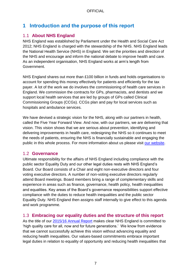# <span id="page-6-0"></span>**1 Introduction and the purpose of this report**

# <span id="page-6-1"></span>1.1 **About NHS England**

NHS England was established by Parliament under the Health and Social Care Act 2012; NHS England is charged with the stewardship of the NHS. NHS England leads the National Health Service (NHS) in England. We set the priorities and direction of the NHS and encourage and inform the national debate to improve health and care. As an independent organisation, NHS England works at arm's length from Government.

NHS England shares out more than £100 billion in funds and holds organisations to account for spending this money effectively for patients and efficiently for the tax payer. A lot of the work we do involves the commissioning of health care services in England. We commission the contracts for GPs, pharmacists, and dentists and we support local health services that are led by groups of GPs called Clinical Commissioning Groups (CCGs). CCGs plan and pay for local services such as hospitals and ambulance services.

We have devised a strategic vision for the NHS, along with our partners in health, called the Five Year Forward View. And now, with our partners, we are delivering that vision. This vision shows that we are serious about prevention, identifying and delivering improvements in health care, redesigning the NHS so it continues to meet the needs of patients, ensuring the NHS is financially sustainable and engaging the public in this whole process. For more information about us please visit [our website.](https://www.england.nhs.uk/about/)

# <span id="page-6-2"></span>1.2 **Governance**

Ultimate responsibility for the affairs of NHS England including compliance with the public sector Equality Duty and our other legal duties rests with NHS England's Board. Our Board consists of a Chair and eight non-executive directors and four voting executive directors. A number of non-voting executive directors regularly attend Board meetings. Board members bring a range of complementary skills and experience in areas such as finance, governance, health policy, health inequalities and equalities. Key areas of the Board's governance responsibilities support effective compliance with the duties to reduce health inequalities and the public sector Equality Duty. NHS England then assigns staff internally to give effect to this agenda and work programme.

# <span id="page-6-3"></span>1.3 **Embracing our equality duties and the structure of this report**

As the title of our [2015/16 Annual Report](https://www.england.nhs.uk/publications/annual-report/) makes clear NHS England is committed to 'high quality care for all, now and for future generations.' We know from evidence that we cannot successfully achieve this vision without advancing equality and reducing health inequalities. Our values-based commitments embrace important legal duties in relation to equality of opportunity and reducing health inequalities that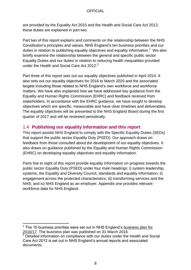are provided by the Equality Act 2010 and the Health and Social Care Act 2012; these duties are explained in part two.

Part two of this report explains and comments on the relationship between the NHS Constitution's principles and values, NHS England's ten business priorities and our duties in relation to publishing equality objectives and equality information.<sup>1</sup> We also briefly examine the relationship between the general and specific public sector Equality Duties and our duties in relation to reducing health inequalities provided under the Health and Social Care Act 2012.<sup>2</sup>

Part three of this report sets out our equality objectives published in April 2014. It also sets out our equality objectives for 2016 to March 2020 and the associated targets including those related to NHS England's own workforce and workforce matters. We have also explained how we have addressed key guidance from the Equality and Human Rights Commission (EHRC) and feedback received from stakeholders. In accordance with the EHRC guidance, we have sought to develop objectives which are specific, measurable and have clear timelines and deliverables. The equality objectives will be presented to the NHS England Board during the first quarter of 2017 and will be reviewed periodically.

# <span id="page-7-0"></span>1.4 **Publishing our equality information and this report**

This report assists NHS England to comply with the Specific Equality Duties (SEDs) that support the public sector Equality Duty (PSED). Our approach draws on feedback from those consulted about the development of our equality objectives. It also draws on guidance published by the Equality and Human Rights Commission (EHRC) on developing equality objectives and equality information.

Parts five to eight of this report provide equality information on progress towards the public sector Equality Duty (PSED) under four main headings: i) system leadership, systems, the Equality and Diversity Council, standards and equality information; ii) engagement across the protected characteristics; iii) transforming services and the NHS; and iv) NHS England as an employer. Appendix one provides relevant workforce data for NHS England.

 $\overline{a}$  $1$  The 10 business priorities were set out in NHS England's business plan for [2016/17.](https://www.england.nhs.uk/publications/business-plan/) The business plan was published on 31 March 2016.<br><sup>2</sup> Detailed information on complished on 31 March 2016.

Detailed information on compliance with our duties under the Health and Social Care Act 2012 is set out in NHS England's annual reports and associated documents.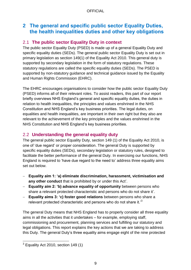# <span id="page-8-0"></span>**2 The general and specific public sector Equality Duties, the health inequalities duties and other key obligations**

# <span id="page-8-1"></span>2.1 **The public sector Equality Duty in context**

The public sector Equality Duty (PSED) is made up of a general Equality Duty and specific equality duties (SEDs). The general public sector Equality Duty is set out in primary legislation as section 149(1) of the Equality Act 2010. This general duty is supported by secondary legislation in the form of statutory regulations. These statutory regulations are called the specific equality duties (SEDs). The PSED is supported by non-statutory guidance and technical guidance issued by the Equality and Human Rights Commission (EHRC).

The EHRC encourages organisations to consider how the public sector Equality Duty (PSED) informs all of their relevant roles. To assist readers, this part of our report briefly overviews NHS England's general and specific equality duties, the duties in relation to health inequalities, the principles and values enshrined in the NHS Constitution and NHS England's key business priorities. The legal duties, on equalities and health inequalities, are important in their own right but they also are relevant to the achievement of the key principles and the values enshrined in the NHS Constitution and NHS England's key business priorities.

# <span id="page-8-2"></span>2.2 **Understanding the general equality duty**

The general public sector Equality Duty, section 149 (1) of the Equality Act 2010, is one of 'due regard' or proper consideration. The general Duty is supported by specific equality duties (SEDs), secondary legislation or statutory rules, designed to facilitate the better performance of the general Duty. In exercising our functions, NHS England is required to 'have due regard to the need to' address three equality aims set out below.

- **Equality aim 1: 'a) eliminate discrimination, harassment, victimisation and any other conduct** that is prohibited by or under this Act'.
- **Equality aim 2: 'b) advance equality of opportunity** between persons who share a relevant protected characteristic and persons who do not share it'.
- **Equality aims 3: 'c) foster good relations** between persons who share a relevant protected characteristic and persons who do not share it.<sup>3</sup>

The general Duty means that NHS England has to properly consider all three equality aims in all the activities that it undertakes – for example, employing staff, commissioning and procurement, planning services and fulfilling our statutory and legal obligations. This report explains the key actions that we are taking to address this Duty. The general Duty's three equality aims engage eight of the nine protected

 $\overline{a}$  $3$  Equality Act 2010, section 149 (1)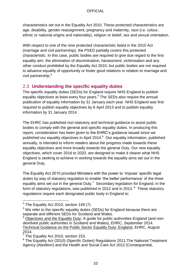characteristics set out in the Equality Act 2010. These protected characteristics are age, disability, gender reassignment, pregnancy and maternity, race (i.e. colour, ethnic or national origins and nationality), religion or belief, sex and sexual orientation.

With respect to one of the nine protected characteristic listed in the 2010 Act (marriage and civil partnership), the PSED partially covers this protected characteristic. In this case, public bodies are required to give due regard to the first equality aim, the elimination of discrimination, harassment, victimisation and any other conduct prohibited by the Equality Act 2010; but public bodies are not required to advance equality of opportunity or foster good relations in relation to marriage and civil partnership. 4

# <span id="page-9-0"></span>2.3 **Understanding the specific equality duties**

The specific equality duties (SEDs) for England require NHS England to publish equality objectives at least every four years.<sup>5</sup> The SEDs also require the annual publication of equality information by 31 January each year. NHS England was first required to publish equality objectives by 6 April 2013 and to publish equality information by 31 January 2014.

The EHRC has published non-statutory and technical guidance to assist public bodies to comply with the general and specific equality duties. In producing this report, consideration has been given to the EHRC's guidance issued since we published our equality objectives in April 2014.<sup>6</sup> Our equality information, published annually, is intended to inform readers about the progress made towards these equality objectives and more broadly towards the general Duty. Our new equality objectives, which cover 2016 to 2020, are designed to make it clearer what NHS England is seeking to achieve in working towards the equality aims set out in the general Duty.

The Equality Act 2010 provided Ministers with the power to 'impose' specific legal duties by way of statutory regulation to enable 'the better performance' of the three equality aims set out in the general Duty.<sup>7</sup> Secondary legislation for England, in the form of statutory regulations, was published in 2012 and in 2013.  $^8$  These statutory regulations require each designated public body in England to:

l

 $4$  The Equality Act 2010, section 149 (7)

<sup>&</sup>lt;sup>5</sup> We refer to the specific equality duties (SEDs) for England because there are separate and different SEDs for Scotland and Wales.

 $6$  [Objectives and the Equality Duty:](https://www.equalityhumanrights.com/en/publication-download/objectives-and-equality-duty-guide-public-authorities) A guide for public authorities England (and nondevolved public authorities in Scotland and Wales), EHRC, September 2014. [Technical Guidance on the Public Sector Equality Duty: England,](https://www.equalityhumanrights.com/en/publication-download/technical-guidance-public-sector-equality-duty-england) EHRC, August 2014.

 $7$  The Equality Act 2010, section 153.

<sup>&</sup>lt;sup>8</sup> The Equality Act (2010) (Specific Duties) Regulations 2011. The National Treatment Agency (Abolition) and the Health and Social Care Act 2012 (Consequential,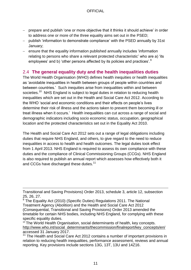- prepare and publish 'one or more objective that it thinks it should achieve' in order to address one or more of the three equality aims set out in the PSED;
- publish 'information to demonstrate compliance' with the PSED annually by 31st January;
- ensure that the equality information published annually includes 'information relating to persons who share a relevant protected characteristic' who are a) 'its employees' and b) 'other persons affected by its policies and practices'.<sup>9</sup>

# <span id="page-10-0"></span>2.4 **The general equality duty and the health inequalities duties**

The World Health Organisation (WHO) defines health inequities or health inequalities as 'avoidable inequalities in health between groups of people within countries and between countries.' Such inequities arise from inequalities within and between societies.<sup>10</sup> NHS England is subject to legal duties in relation to reducing health inequalities which are set out in the Health and Social Care Act 2012. According to the WHO 'social and economic conditions and their effects on people's lives determine their risk of illness and the actions taken to prevent them becoming ill or treat illness when it occurs.' Health inequalities can cut across a range of social and demographic indicators including socio economic status, occupation, geographical location and the protected characteristics set out in the Equality Act 2010.

The Health and Social Care Act 2012 sets out a range of legal obligations including duties that require NHS England, and others, to give regard to the need to reduce inequalities in access to health and health outcomes. The legal duties took effect from 1 April 2013. NHS England is required to assess its own compliance with these duties and the compliance of Clinical Commissioning Groups (CCGs). NHS England is also required to publish an annual report which assesses how effectively both it and CCGs have discharged these duties.<sup>11</sup>

 $\overline{a}$ 

Transitional and Saving Provisions) Order 2013, schedule 3, article 12, subsection 25, 26, 27.

<sup>&</sup>lt;sup>9</sup> The Equality Act (2010) (Specific Duties) Regulations 2011. The National Treatment Agency (Abolition) and the Health and Social Care Act 2012 (Consequential, Transitional and Saving Provisions) Order 2013 amended the timetable for certain NHS bodies, including NHS England, for complying with these specific equality duties.

 $10$  The World Health Organisation, social determinants of health, key concepts, [http://www.who.int/social\\_determinants/thecommission/finalreport/key\\_concepts/en/](http://www.who.int/social_determinants/thecommission/finalreport/key_concepts/en/) accessed 31 January 2017.

 $11$  The Health and Social Care Act 2012 contains a number of important provisions in relation to reducing health inequalities, performance assessment, reviews and annual reporting. Key provisions include sections 13G, 13T, 13U and 14Z16.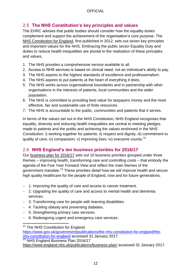# <span id="page-11-0"></span>2.5 **The NHS Constitution's key principles and values**

The EHRC advises that public bodies should consider how the equality duties complement and support the achievement of the organisation's core purpose. The [NHS Constitution](https://www.gov.uk/government/publications/the-nhs-constitution-for-england) for England, first published in 2012, sets out seven key principles and important values for the NHS. Embracing the public sector Equality Duty and duties to reduce health inequalities are pivotal to the realisation of these principles and values.

- 1. The NHS provides a comprehensive service available to all.
- 2. Access to NHS services is based on clinical need, not an individual's ability to pay.
- 3. The NHS aspires to the highest standards of excellence and professionalism.
- 4. The NHS aspires to put patients at the heart of everything it does.
- 5. The NHS works across organisational boundaries and in partnership with other organisations in the interests of patients, local communities and the wider population.
- 6. The NHS is committed to providing best value for taxpayers money and the most effective, fair and sustainable use of finite resources.
- 7. The NHS is accountable to the public, communities and patients that it serves.

In terms of the values set out in the NHS Constitution, NHS England recognises that equality, diversity and reducing health inequalities are central to meeting pledges made to patients and the public and achieving the values enshrined in the NHS Constitution: i) working together for patients; ii) respect and dignity; iii) commitment to quality of care; iv) compassion; v) improving lives; iv) everyone counts.<sup>12</sup>

# <span id="page-11-1"></span>2.6 **NHS England's ten business priorities for 2016/17**

Our [business plan for 2016/17](https://www.england.nhs.uk/publications/business-plan/) sets out 10 business priorities grouped under three themes – improving health, transforming care and controlling costs – that embody the agenda of the Five Year Forward View and reflect the main themes of the government mandate.<sup>13</sup> These priorities detail how we will improve health and secure high quality healthcare for the people of England, now and for future generations.

- 1: Improving the quality of care and access to cancer treatment.
- 2: Upgrading the quality of care and access to mental health and dementia services.
- 3: Transforming care for people with learning disabilities.
- 4: Tackling obesity and preventing diabetes.
- 5: Strengthening primary care services.
- 6: Redesigning urgent and emergency care services.

 $\overline{a}$ <sup>12</sup> The NHS Constitution for England

[https://www.gov.uk/government/publications/the-nhs-constitution-for-england/the](https://www.gov.uk/government/publications/the-nhs-constitution-for-england/the-nhs-constitution-for-england)[nhs-constitution-for-england](https://www.gov.uk/government/publications/the-nhs-constitution-for-england/the-nhs-constitution-for-england) accessed 31 January 2017. <sup>13</sup> NHS England Business Plan 2016/17

<https://www.england.nhs.uk/publications/business-plan/> accessed 31 January 2017.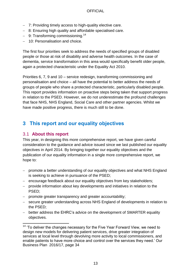- 7: Providing timely access to high-quality elective care.
- 8: Ensuring high quality and affordable specialised care.
- 9: Transforming commissioning.<sup>14</sup>
- 10: Personalisation and choice.

The first four priorities seek to address the needs of specified groups of disabled people or those at risk of disability and adverse health outcomes. In the case of dementia, service transformation in this area would specifically benefit older people, again a protected characteristic under the Equality Act 2010.

Priorities 6, 7, 9 and 10 – service redesign, transforming commissioning and personalisation and choice – all have the potential to better address the needs of groups of people who share a protected characteristic, particularly disabled people. This report provides information on proactive steps being taken that support progress in relation to the PSED. However, we do not underestimate the profound challenges that face NHS, NHS England, Social Care and other partner agencies. Whilst we have made positive progress, there is much still to be done.

# <span id="page-12-0"></span>**3 This report and our equality objectives**

# <span id="page-12-1"></span>3.1 **About this report**

 $\overline{a}$ 

This year, in designing this more comprehensive report, we have given careful consideration to the guidance and advice issued since we last published our equality objectives in April 2014. By bringing together our equality objectives and the publication of our equality information in a single more comprehensive report, we hope to:

- promote a better understanding of our equality objectives and what NHS England is seeking to achieve in pursuance of the PSED;
- encourage feedback about our equality objectives from key stakeholders;
- provide information about key developments and initiatives in relation to the PSED;
- promote greater transparency and greater accountability;
- secure greater understanding across NHS England of developments in relation to the PSED;
- better address the EHRC's advice on the development of SMARTER equality objectives.

 $14$  'To deliver the changes necessary for the Five Year Forward View, we need to design new models for delivering patient services, drive greater integration of services at local level through devolving more activity to local commissioners, and enable patients to have more choice and control over the services they need.' Our Business Plan 2016/17, page 34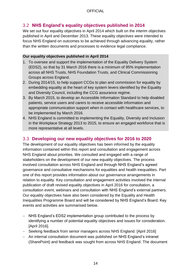# <span id="page-13-0"></span>3.2 **NHS England's equality objectives published in 2014**

We set out four equality objectives in April 2014 which built on the interim objectives published in April and December 2013. These equality objectives were intended to focus NHS England on outcomes to be achieved through advancing equality, rather than the written documents and processes to evidence legal compliance.

#### **Our equality objectives published in April 2014**

- 1. To oversee and support the implementation of the Equality Delivery System (EDS2), so that by 31 March 2016 there is a minimum of 95% implementation across all NHS Trusts, NHS Foundation Trusts, and Clinical Commissioning Groups across England.
- 2. During 2014/15, to help support CCGs to plan and commission for equality by embedding equality at the heart of key system levers identified by the Equality and Diversity Council, including the CCG assurance regime.
- 3. By March 2015, to develop an Accessible Information Standard to help disabled patients, service users and carers to receive accessible information and appropriate communication support when in contact with healthcare services, to be implemented by March 2016.
- 4. NHS England is committed to implementing the Equality, Diversity and Inclusion in the Workplace Strategy 2013 to 2015, to ensure an engaged workforce that is more representative at all levels.

# <span id="page-13-1"></span>3.3 **Developing our new equality objectives for 2016 to 2020**

The development of our equality objectives has been informed by the equality information contained within this report and consultation and engagement across NHS England about priorities. We consulted and engaged with a range of stakeholders on the development of our new equality objectives. The process involved consultation across NHS England and through NHS England's agreed governance and consultative mechanisms for equalities and health inequalities. Part one of this report provides information about our governance arrangements in relation to equality. Key consultation and engagement activities involved the internal publication of draft revised equality objectives in April 2016 for consultation, a consultation event, webinars and consultation with NHS England's external partners. Our equality objectives have also been considered by the Equality and Health Inequalities Programme Board and will be considered by NHS England's Board. Key events and activities are summarised below.

- NHS England's EDS2 implementation group contributed to the process by identifying a number of potential equality objectives and issues for consideration. [April 2016].
- Seeking feedback from senior managers across NHS England. [April 2016]
- An internal consultation document was published on NHS England's intranet (SharePoint) and feedback was sought from across NHS England. The document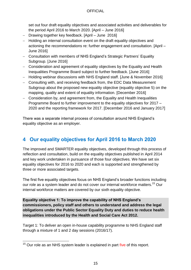set out four draft equality objectives and associated activities and deliverables for the period April 2016 to March 2020. [April – June 2016]

- Drawing together key feedback. [April June 2016]
- Holding an internal consultation event on the draft equality objectives and actioning the recommendations re: further engagement and consultation. [April – June 2016]
- Consultation with members of NHS England's Strategic Partners' Equality Subgroup. [June 2016]
- Consideration and agreement of equality objectives by the Equality and Health Inequalities Programme Board subject to further feedback. [June 2016]
- Holding webinar discussions with NHS England staff. [June & November 2016]
- Consulting with, and receiving feedback from, the EDC Data Measurement Subgroup about the proposed new equality objective (equality objective 5) on the mapping, quality and extent of equality information. [December 2016]
- Consideration by, and agreement from, the Equality and Health Inequalities Programme Board to further improvement to the equality objectives for 2017 – 2020 and the reporting framework for 2017. [December 2016 and January 2017]

There was a separate internal process of consultation around NHS England's equality objective as an employer.

# <span id="page-14-0"></span>**4 Our equality objectives for April 2016 to March 2020**

The improved and SMARTER equality objectives, developed through this process of reflection and consultation, build on the equality objectives published in April 2014 and key work undertaken in pursuance of those four objectives. We have set six equality objectives for 2016 to 2020 and each is supported and strengthened by three or more associated targets.

The first five equality objectives focus on NHS England's broader functions including our role as a system leader and do not cover our internal workforce matters.<sup>15</sup> Our internal workforce matters are covered by our sixth equality objective.

**Equality objective 1: To improve the capability of NHS England's commissioners, policy staff and others to understand and address the legal obligations under the Public Sector Equality Duty and duties to reduce health inequalities introduced by the Health and Social Care Act 2012.**

Target 1: To deliver an open in-house capability programme to NHS England staff through a mixture of 1 and 2 day sessions (2016/17).

 $\overline{a}$ <sup>15</sup> Our role as an NHS system leader is explained in part five of this report.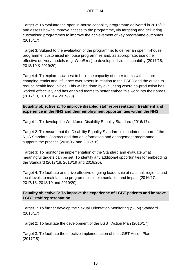Target 2: To evaluate the open in-house capability programme delivered in 2016/17 and assess how to improve access to the programme, via targeting and delivering customised programmes to improve the achievement of key programme outcomes (2016/17).

Target 3: Subject to the evaluation of the programme, to deliver an open in-house programme, customised in-house programmes and, as appropriate, use other effective delivery models (e.g. WebExes) to develop individual capability (2017/18, 2018/19 & 2019/20).

Target 4: To explore how best to build the capacity of other teams with culturechanging remits and influence over others in relation to the PSED and the duties to reduce health inequalities. This will be done by evaluating where co-production has worked effectively and has enabled teams to better embed this work into their areas (2017/18, 2018/19 & 2019/20)

#### **Equality objective 2: To improve disabled staff representation, treatment and experience in the NHS and their employment opportunities within the NHS.**

Target 1: To develop the Workforce Disability Equality Standard (2016/17).

Target 2: To ensure that the Disability Equality Standard is mandated as part of the NHS Standard Contract and that an information and engagement programme supports the process (2016/17 and 2017/18).

Target 3: To monitor the implementation of the Standard and evaluate what meaningful targets can be set. To identify any additional opportunities for embedding the Standard (2017/18, 2018/19 and 2019/20).

Target 4: To facilitate and drive effective ongoing leadership at national, regional and local levels to maintain the programme's implementation and impact (2016/17, 2017/18, 2018/19 and 2019/20).

#### **Equality objective 3: To improve the experience of LGBT patients and improve LGBT staff representation**.

Target 1: To further develop the Sexual Orientation Monitoring (SOM) Standard (2016/17).

Target 2: To facilitate the development of the LGBT Action Plan (2016/17).

Target 3: To facilitate the effective implementation of the LGBT Action Plan (2017/18).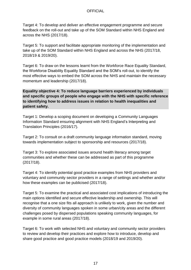Target 4: To develop and deliver an effective engagement programme and secure feedback on the roll-out and take up of the SOM Standard within NHS England and across the NHS (2017/18).

Target 5: To support and facilitate appropriate monitoring of the implementation and take up of the SOM Standard within NHS England and across the NHS (2017/18, 2018/19 & 2019/20).

Target 6: To draw on the lessons learnt from the Workforce Race Equality Standard, the Workforce Disability Equality Standard and the SOM's roll-out, to identify the most effective ways to embed the SOM across the NHS and maintain the necessary momentum and leadership (2017/18).

**Equality objective 4: To reduce language barriers experienced by individuals and specific groups of people who engage with the NHS with specific reference to identifying how to address issues in relation to health inequalities and patient safety.** 

Target 1: Develop a scoping document on developing a Community Languages Information Standard ensuring alignment with NHS England's Interpreting and Translation Principles (2016/17).

Target 2: To consult on a draft community language information standard, moving towards implementation subject to sponsorship and resources (2017/18).

Target 3: To explore associated issues around health literacy among target communities and whether these can be addressed as part of this programme (2017/18).

Target 4: To identify potential good practice examples from NHS providers and voluntary and community sector providers in a range of settings and whether and/or how these examples can be publicised (2017/18).

Target 5: To examine the practical and associated cost implications of introducing the main options identified and secure effective leadership and ownership. This will recognise that a one size fits all approach is unlikely to work, given the number and diversity of community languages spoken in some urban/city areas and the different challenges posed by dispersed populations speaking community languages, for example in some rural areas (2017/18).

Target 6: To work with selected NHS and voluntary and community sector providers to review and develop their practices and explore how to introduce, develop and share good practice and good practice models (2018/19 and 2019/20).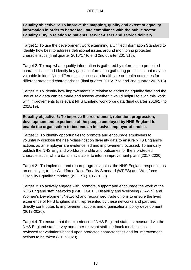#### **Equality objective 5: To improve the mapping, quality and extent of equality information in order to better facilitate compliance with the public sector Equality Duty in relation to patients, service-users and service delivery.**

Target 1: To use the development work examining a Unified Information Standard to identify how best to address definitional issues around monitoring protected characteristics (final quarter 2016/17 to end 2nd quarter 2017/18).

Target 2: To map what equality information is gathered by reference to protected characteristics and identify key gaps in information gathering processes that may be valuable in identifying differences in access to healthcare or health outcomes for different protected characteristics (final quarter 2016/17 to end 2nd quarter 2017/18).

Target 3: To identify how improvements in relation to gathering equality data and the use of said data can be made and assess whether it would helpful to align this work with improvements to relevant NHS England workforce data (final quarter 2016/17 to 2018/19).

**Equality objective 6: To improve the recruitment, retention, progression, development and experience of the people employed by NHS England to enable the organisation to become an inclusive employer of choice.**

Target 1: To identify opportunities to promote and encourage employees to voluntarily disclose their self-classification diversity data to ensure NHS England's actions as an employer are evidence led and improvement focussed. To annually publish the NHS England workforce profile and outcomes for the 9 protected characteristics, where data is available, to inform improvement plans (2017-2020).

Target 2: To implement and report progress against the NHS England response, as an employer, to the Workforce Race Equality Standard (WRES) and Workforce Disability Equality Standard (WDES) (2017-2020).

Target 3: To actively engage with, promote, support and encourage the work of the NHS England staff networks (BME, LGBT+, Disability and Wellbeing (DAWN) and Women's Development Network) and recognised trade unions to ensure the lived experience of NHS England staff, represented by these networks and partners, directly contributes to improvement actions and organisational policy development (2017-2020).

Target 4: To ensure that the experience of NHS England staff, as measured via the NHS England staff survey and other relevant staff feedback mechanisms, is reviewed for variations based upon protected characteristics and for improvement actions to be taken (2017-2020).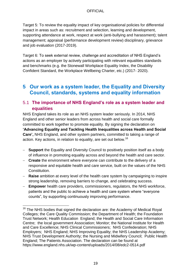Target 5: To review the equality impact of key organisational policies for differential impact in areas such as: recruitment and selection, learning and development, supporting attendance at work, respect at work (anti-bullying and harassment); talent management; appraisal (performance development review) disciplinary, grievance and job evaluation (2017-2019).

Target 6: To seek external review, challenge and accreditation of NHS England's actions as an employer by actively participating with relevant equalities standards and benchmarks (e.g. the Stonewall Workplace Equality Index, the Disability Confident Standard, the Workplace Wellbeing Charter, etc.) (2017- 2020).

# <span id="page-18-0"></span>**5 Our work as a system leader, the Equality and Diversity Council, standards, systems and equality information**

# <span id="page-18-1"></span>5.1 **The importance of NHS England's role as a system leader and equalities**

NHS England takes its role as an NHS system leader seriously. In 2014, NHS England and other senior leaders from across health and social care formally committed to work together to promote equality. By signing the declaration on **'Advancing Equality and Tackling Health Inequalities across Health and Social Care',** NHS England, and other system partners, committed to taking a range of action. Key actions, in relation to equality, are set out below.<sup>16</sup>

- **Support** the Equality and Diversity Council to positively position itself as a body of influence in promoting equality across and beyond the health and care sector.
- **Create** the environment where everyone can contribute to the delivery of a responsive and equitable health and care service, built on the values of the NHS Constitution.
- **Raise** ambition at every level of the health care system by campaigning to inspire strong leadership, removing barriers to change, and celebrating success.
- **Empower** health care providers, commissioners, regulators, the NHS workforce, patients and the public to achieve a health and care system where "everyone counts", by supporting continuously improving performance.

 $\overline{a}$ 

 $16$  The NHS bodies that signed the declaration are: the Academy of Medical Royal Colleges; the Care Quality Commission; the Department of Health; the Foundation Trust Network; Health Education England; the Health and Social Care Information Centre; the local government Association; Monitor; the National Institute for Health and Care Excellence; NHS Clinical Commissioners; NHS Confederation; NHS Employers; NHS England; NHS Improving Equality; the NHS Leadership Academy; NHS Trust Development Authority; the Nursing and Midwifery Council; Public Health England; The Patients Association. The declaration can be found at https://www.england.nhs.uk/wp-content/uploads/2014/08/edc2-0514.pdf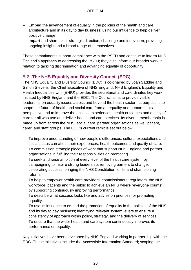- **Embed** the advancement of equality in the policies of the health and care architecture and in its day to day business; using our influence to help deliver positive change.
- **Impart** and share clear strategic direction, challenge and innovation; providing ongoing insight and a broad range of perspectives.

These commitments support compliance with the PSED and continue to inform NHS England's approach to addressing the PSED; they also inform our broader work in relation to tackling discrimination and advancing equality of opportunity.

# <span id="page-19-0"></span>5.2 **The NHS Equality and Diversity Council (EDC)**

The NHS Equality and Diversity Council (EDC) is co-chaired by Joan Saddler and Simon Stevens, the Chief Executive of NHS England. NHS England's Equality and Health Inequalities Unit (EHIU) provides the secretariat and co-ordinates key work initiated by NHS England and the EDC. The Council aims to provide visible leadership on equality issues across and beyond the health sector. Its purpose is to shape the future of health and social care from an equality and human rights perspective and to improve the access, experiences, health outcomes and quality of care for all who use and deliver health and care services. Its diverse membership is made up from across the NHS, social care, partner organisations as well patient, carer, and staff groups. The EDC's current remit is set out below.

- To improve understanding of how people's differences, cultural expectations and social status can affect their experiences, health outcomes and quality of care.
- To commission strategic pieces of work that support NHS England and partner organisations in fulfilling their responsibilities on promoting.
- To seek and raise ambition at every level of the health care system by campaigning to inspire strong leadership, removing barriers to change, celebrating success, bringing the NHS Constitution to life and championing reform.
- To help to empower health care providers, commissioners, regulators, the NHS workforce, patients and the public to achieve an NHS where "everyone counts", by supporting continuously improving performance.
- To describe what success looks like and advise on priorities for promoting equality.
- To use its influence to embed the promotion of equality in the policies of the NHS and its day to day business; identifying relevant system levers to ensure a consistency of approach within policy, strategy, and the delivery of services.
- To ensure that the wider health and care system continuously improves its performance on equality.

Key initiatives have been developed by NHS England working in partnership with the EDC. These initiatives include: the Accessible Information Standard; scoping the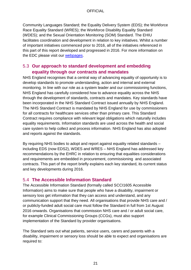Community Languages Standard; the Equality Delivery System (EDS); the Workforce Race Equality Standard (WRES); the Workforce Disability Equality Standard (WDES); and the Sexual Orientation Monitoring (SOM) Standard. The EHIU facilitates coordination and development in relation to key initiatives. Whilst a number of important initiatives commenced prior to 2016, all of the initiatives referenced in this part of this report developed and progressed in 2016. For more information on the EDC please visit our [webpages.](https://www.england.nhs.uk/about/equality/equality-hub/edc/)

# <span id="page-20-0"></span>5.3 **Our approach to standard development and embedding equality through our contracts and mandates**

NHS England recognises that a central way of advancing equality of opportunity is to develop standards to promote understanding, action and internal and external monitoring. In line with our role as a system leader and our commissioning functions, NHS England has carefully considered how to advance equality across the NHS through the development of standards, contracts and mandates. Key standards have been incorporated in the NHS Standard Contract issued annually by NHS England. The NHS Standard Contract is mandated by NHS England for use by commissioners for all contracts for healthcare services other than primary care. This Standard Contract requires compliance with relevant legal obligations which naturally includes equality requirements. Information standards are used across the health and social care system to help collect and process information. NHS England has also adopted and reports against the standards.

By requiring NHS bodies to adopt and report against equality related standards – including EDS (now EDS2), WDES and WRES – NHS England has addressed key recommendations by the EHRC in relation to ensuring that equalities considerations and requirements are embedded in procurement, commissioning and associated contracts. This part of the report briefly explains each key standard, its current status and key developments during 2016.

# <span id="page-20-1"></span>5.4 **The Accessible Information Standard**

The Accessible Information Standard (formally called SCCI1605 Accessible Information) aims to make sure that people who have a disability, impairment or sensory loss get information that they can access and understand, and any communication support that they need. All organisations that provide NHS care and / or publicly-funded adult social care must follow the Standard in full from 1st August 2016 onwards. Organisations that commission NHS care and / or adult social care, for example Clinical Commissioning Groups (CCGs), must also support implementation of the Standard by provider organisations.

The Standard sets out what patients, service users, carers and parents with a disability, impairment or sensory loss should be able to expect and organisations are required to: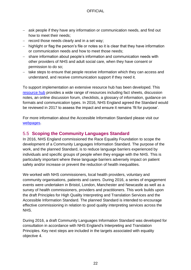- ask people if they have any information or communication needs, and find out how to meet their needs;
- $-$  record those needs clearly and in a set way;
- highlight or flag the person's file or notes so it is clear that they have information or communication needs and how to meet those needs;
- share information about people's information and communication needs with other providers of NHS and adult social care, when they have consent or permission to do so;
- take steps to ensure that people receive information which they can access and understand, and receive communication support if they need it.

To support implementation an extensive resource hub has been developed. This [resource hub](https://www.england.nhs.uk/ourwork/accessibleinfo/resources/) provides a wide range of resources including fact sheets, discussion notes, an online discussion forum, checklists, a glossary of information, guidance on formats and communication types. In 2016, NHS England agreed the Standard would be reviewed in 2017 to assess the impact and ensure it remains 'fit for purpose'.

For more information about the Accessible Information Standard please visit our [webpages.](https://www.england.nhs.uk/ourwork/accessibleinfo/)

# <span id="page-21-0"></span>5.5 **Scoping the Community Languages Standard**

In 2016, NHS England commissioned the Race Equality Foundation to scope the development of a Community Languages Information Standard. The purpose of the work, and the planned Standard, is to reduce language barriers experienced by individuals and specific groups of people when they engage with the NHS. This is particularly important where these language barriers adversely impact on patient safety and/or increase or prevent the reduction of health inequalities.

We worked with NHS commissioners, local health providers, voluntary and community organisations, patients and carers. During 2016, a series of engagement events were undertaken in Bristol, London, Manchester and Newcastle as well as a survey of health commissioners, providers and practitioners. This work builds upon the draft Principles for High Quality Interpreting and Translation Services and the Accessible Information Standard. The planned Standard is intended to encourage effective commissioning in relation to good quality interpreting services across the NHS.

During 2016, a draft Community Languages Information Standard was developed for consultation in accordance with NHS England's Interpreting and Translation Principles. Key next steps are included in the targets associated with equality objective 4.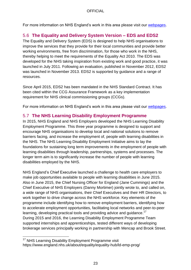For more information on NHS England's work in this area please visit our [webpages.](https://www.england.nhs.uk/about/equality/equality-hub/community-languages/)

# <span id="page-22-0"></span>5.6 **The Equality and Delivery System Version – EDS and EDS2**

The Equality and Delivery System (EDS) is designed to help NHS organisations to improve the services that they provide for their local communities and provide better working environments, free from discrimination, for those who work in the NHS, thereby helping to meet the requirements of the Equality Act 2010. The EDS was developed for the NHS taking inspiration from existing work and good practice, it was launched in July 2011. Following an evaluation, published in November 2012, EDS2 was launched in November 2013. EDS2 is supported by guidance and a range of resources.

Since April 2015, EDS2 has been mandated in the NHS Standard Contract. It has been cited within the CCG Assurance Framework as a key implementation requirement for NHS clinical commissioning groups (CCGs).

For more information on NHS England's work in this area please visit our [webpages.](https://www.england.nhs.uk/about/equality/equality-hub/eds/)

# <span id="page-22-1"></span>5.7 **The NHS Learning Disability Employment Programme**

In 2015, NHS England and NHS Employers developed the NHS Learning Disability Employment Programme. This three year programme is designed to support and encourage NHS organisations to develop local and national solutions to remove barriers facing, and increase the employment of, people with learning disabilities in the NHS. The NHS Learning Disability Employment Initiative aims to lay the foundations for sustaining long term improvements in the employment of people with learning disabilities through leadership, partnerships, systems and processes. The longer term aim is to significantly increase the number of people with learning disabilities employed by the NHS.

NHS England's Chief Executive launched a challenge to health care employers to make job opportunities available to people with learning disabilities in June 2015. Also in June 2015, the Chief Nursing Officer for England (Jane Cummings) and the Chief Executive of NHS Employers (Danny Mortimer) jointly wrote to, and called on, a wide range of NHS organisations, their Chief Executives and their HR Directors, to work together to drive change across the NHS workforce. Key elements of the programme include identifying how to remove employment barriers, identifying how to accelerate employment opportunities, facilitating local networks and peer-to-peer learning, developing practical tools and providing advice and guidance.<sup>17</sup> During 2015 and 2016, the Learning Disability Employment Programme Team supported internships and apprenticeships, tested different ways of developing brokerage services principally working in partnership with Mencap and Brook Street.

l <sup>17</sup> NHS Learning Disability Employment Programme visit https://www.england.nhs.uk/about/equality/equality-hub/ld-emp-prog/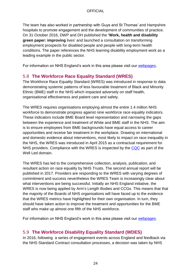The team has also worked in partnership with Guys and St Thomas' and Hampshire hospitals to promote engagement and the development of communities of practice. On 31 October 2016, DWP and DH published the **'Work, health and disability green paper: improving** lives' and launched a consultation on transforming employment prospects for disabled people and people with long-term health conditions. The paper references the NHS learning disability employment work as a leading example in the public sector.

For information on NHS England's work in this area please visit our [webpages.](https://www.england.nhs.uk/about/equality/equality-hub/ld-emp-prog/)

# <span id="page-23-0"></span>5.8 **The Workforce Race Equality Standard (WRES)**

The Workforce Race Equality Standard (WRES) was introduced in response to data demonstrating systemic patterns of less favourable treatment of Black and Minority Ethnic (BME) staff in the NHS which impacted adversely on staff health, organisational effectiveness and patient care and safety.

The WRES requires organisations employing almost the entire 1.4 million NHS workforce to demonstrate progress against nine workforce race equality indicators. These indicators include BME Board level representation and narrowing the gaps between the experience and treatment of White and BME staff in the NHS. The aim is to ensure employees from BME backgrounds have equal access to career opportunities and receive fair treatment in the workplace. Drawing on international and domestic evidence about interventions, most likely to impact on race inequality in the NHS, the WRES was introduced in April 2015 as a contractual requirement for NHS providers. Compliance with the WRES is inspected by the [CQC](https://www.cqc.org.uk/content/how-we-inspect-and-regulate-guide-providers) as part of the Well Led domain.

The WRES has led to the comprehensive collection, analysis, publication, and resultant action on race equality by NHS Trusts. The second annual report will be published in 2017. Providers are responding to the WRES with varying degrees of commitment and success nevertheless the WRES Team is increasingly clear about what interventions are being successful. Initially an NHS England initiative, the WRES is now being applied by Arm's Length Bodies and CCGs. This means that that the majority of the Boards of NHS organisations will have faced up to the evidence that the WRES metrics have highlighted for their own organisation. In turn, they should have taken action to improve the treatment and opportunities for the BME staff who make up almost one fifth of the NHS workforce.

For information on NHS England's work in this area please visit our [webpages.](https://www.england.nhs.uk/about/equality/equality-hub/equality-standard/)

# <span id="page-23-1"></span>5.9 **The Workforce Disability Equality Standard (WDES)**

In 2016, following a series of engagement events across England and feedback via the NHS Standard Contract consultation processes, a decision was taken by NHS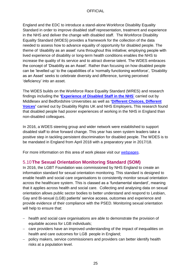England and the EDC to introduce a stand-alone Workforce Disability Equality Standard in order to improve disabled staff representation, treatment and experience in the NHS and deliver the change with disabled staff. The Workforce Disability Equality Standard (WDES) provides a framework for the collection of the data needed to assess how to advance equality of opportunity for disabled people. The theme of 'disability as an asset' runs throughout this initiative; employing people with lived experience of disability or long-term health conditions enables the NHS to increase the quality of its service and to attract diverse talent. The WDES embraces the concept of 'Disability as an Asset'. Rather than focusing on how disabled people can be 'levelled up' to the capabilities of a 'normally functioning workforce', 'Disability as an Asset' seeks to celebrate diversity and difference, turning perceived 'deficiency' into an asset.

The WDES builds on the Workforce Race Equality Standard (WRES) and research findings including the **['Experience of Disabled Staff in the NHS](http://eprints.mdx.ac.uk/18741/)**' carried out by Middlesex and Bedfordshire Universities as well as **['Different Choices, Different](http://www.nhsemployers.org/case-studies-and-resources/2015/05/different-voices-different-choices)  [Voices'](http://www.nhsemployers.org/case-studies-and-resources/2015/05/different-voices-different-choices)** carried out by Disability Rights UK and NHS Employers**.** This research found that disabled people had poorer experiences of working in the NHS in England than non-disabled colleagues.

In 2016, a WDES steering group and wider network were established to support disabled staff to drive forward change. This year has seen system leaders take a positive step in tackling persistent discrimination for disabled people. The WDES is to be mandated in England from April 2018 with a preparatory year in 2017/18.

For more information on this area of work please visit our [webpages.](https://www.england.nhs.uk/about/equality/equality-hub/wdes/)

# <span id="page-24-0"></span>5.10**The Sexual Orientation Monitoring Standard (SOM)**

In 2016, the LGBT Foundation was commissioned by NHS England to create an information standard for sexual orientation monitoring. This standard is designed to enable health and social care organisations to consistently monitor sexual orientation across the healthcare system. This is classed as a 'fundamental standard', meaning that it applies across health and social care. Collecting and analysing data on sexual orientation allows public sector bodies to better understand and respond to Lesbian, Gay and Bi-sexual (LGB) patients' service access, outcomes and experience and provide evidence of their compliance with the PSED. Monitoring sexual orientation will help to ensure that:

- health and social care organisations are able to demonstrate the provision of equitable access for LGB individuals;
- care providers have an improved understanding of the impact of inequalities on health and care outcomes for LGB people in England;
- policy makers, service commissioners and providers can better identify health risks at a population level.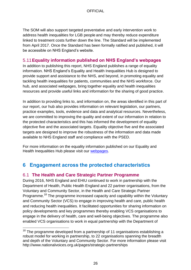The SOM will also support targeted preventative and early intervention work to address health inequalities for LGB people and may thereby reduce expenditure linked to treatment costs further down the line. The Standard will be implemented from April 2017. Once the Standard has been formally ratified and published, it will be accessible on NHS England's website.

# <span id="page-25-0"></span>5.11**Equality information published on NHS England's webpages**

In addition to publishing this report, NHS England publishes a range of equality information. NHS England's Equality and Health Inequalities Hub is designed to provide support and assistance to the NHS, and beyond, in promoting equality and tackling health inequalities for patients, communities and the NHS workforce. Our hub, and associated webpages, bring together equality and health inequalities resources and provide useful links and information for the sharing of good practice.

In addition to providing links to, and information on, the areas identified in this part of our report, our hub also provides information on relevant legislation, our partners, practice examples, tools, evidence and data and analytical resources. Nevertheless, we are committed to improving the quality and extent of our information in relation to the protected characteristics and this has informed the development of equality objective five and the associated targets. Equality objective five and the associated targets are designed to improve the robustness of the information and data made available to NHS England staff and compliance with the PSED.

For more information on the equality information published on our Equality and Health Inequalities Hub please visit our [webpages.](https://www.england.nhs.uk/about/equality/equality-hub/)

# <span id="page-25-1"></span>**6 Engagement across the protected characteristics**

# <span id="page-25-2"></span>6.1 **The Health and Care Strategic Partner Programme**

During 2016, NHS England and EHIU continued to work in partnership with the Department of Health, Public Health England and 22 partner organisations, from the Voluntary and Community Sector, in the Health and Care Strategic Partner Programme.<sup>18</sup> The programme increased capacity and capability within the Voluntary and Community Sector (VCS) to engage in improving health and care, public health and reducing health inequalities. It facilitated opportunities for sharing information on policy developments and key programmes thereby enabling VCS organisations to engage in the delivery of health, care and well-being objectives. The programme also enabled VCS organisations to work in equal partnership with the Department of

l  $18$  The programme developed from a partnership of 11 organisations establishing a robust model for working in partnership, to 22 organisations spanning the breadth and depth of the Voluntary and Community Sector. For more information please visit http://www.nationalvoices.org.uk/pages/strategic-partnerships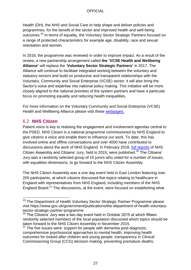Health (DH), the NHS and Social Care to help shape and deliver policies and programmes, for the benefit of the sector and improved health and well-being outcomes.<sup>19</sup> In terms of equality, the Voluntary Sector Strategic Partners focused on a range of protected characteristics for example age, disability, race and sexual orientation and women.

In 2016, the programme was reviewed in order to improve impact. As a result of the review, a new partnership arrangement called **the 'VCSE Health and Wellbeing Alliance'** will replace the '**Voluntary Sector Strategic Partners'** in 2017. The Alliance will continue to facilitate integrated working between the voluntary and statutory sectors and build on productive and transparent relationships with the Voluntary, Community and Social Enterprise (VCSE) sector; it will also bring the Sector's voice and expertise into national policy making. This initiative will be more closely aligned to the national priorities of the system partners and have a particular focus on promoting equality and reducing health inequalities.

For more information on the Voluntary Community and Social Enterprise (VCSE) Health and Wellbeing Alliance please visit these [webpages.](https://www.gov.uk/government/publications/vcse-health-and-wellbeing-alliance-application-form)

# <span id="page-26-0"></span>6.2 **NHS Citizen**

 $\overline{a}$ 

Patient voice is key to realising the engagement and involvement agendas central to the PSED. NHS Citizen is a national programme commissioned by NHS England to give citizens a voice and enable them to influence our work. To date, this has involved online and offline conversations and over 4000 have contributed to discussions about the work of NHS England. In February 2016, [full reports](http://www.involve.org.uk/blog/2016/02/04/full-reports-of-nhs-citizen-assembly-and-citizens-jury-now-published/) of NHS Citizen Assembly and Citizens' Jury, held in 2015, were published.<sup>20</sup> The Citizens' Jury was a randomly selected group of 15 jurors who voted for a number of issues, with equalities dimensions, to go forward to the NHS Citizen Assembly.

The NHS Citizen Assembly was a one day event held in East London featuring over 200 participants, at which citizens discussed five topics relating to healthcare in England with representatives from NHS England, including members of the NHS England Board.<sup>21</sup> The discussions, at the event, were focused on establishing what

<sup>&</sup>lt;sup>19</sup> The Department of Health Voluntary Sector Strategic Partner Programme please visit https://www.gov.uk/government/publications/the-department-of-health-voluntarysector-strategic-partner-programme

 $20$  The Citizens' Jury was a two day event held in October 2015 at which fifteen randomly selected members of the local population discussed which topics should be taken forward to the NHS Citizen Assembly in November 2015.

<sup>&</sup>lt;sup>21</sup> The five issues were: support for people with dementia post-diagnosis; comprehensive psychosocial approaches to mental health; improving health outcomes for looked after children and young people; transparency in Clinical Commissioning Group (CCG) decision making; preventing premature deaths.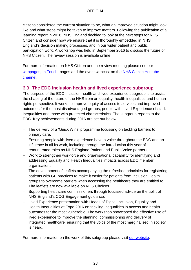citizens considered the current situation to be, what an improved situation might look like and what steps might be taken to improve matters. Following the publication of a learning report in 2016, NHS England decided to look at the next steps for NHS Citizen and consider how we ensure that it is thoroughly embedded in NHS England's decision making processes, and in our wider patient and public participation work. A workshop was held in September 2016 to discuss the future of NHS Citizen. The review session is available online.

For more information on NHS Citizen and the review meeting please see our [webpages,](https://www.england.nhs.uk/participation/get-involved/how/nhs-citizen/) [In Touch](http://nhs.mkt5643.com/intouchoptin) pages and the event webcast on the [NHS Citizen Youtube](https://www.youtube.com/playlist?list=PLvSb6gvbF_4nAYVNcPQ25rTo2MczT8-NY)  [channel.](https://www.youtube.com/playlist?list=PLvSb6gvbF_4nAYVNcPQ25rTo2MczT8-NY)

# <span id="page-27-0"></span>6.3 **The EDC Inclusion health and lived experience subgroup**

The purpose of the EDC Inclusion health and lived experience subgroup is to assist the shaping of the future of the NHS from an equality, health inequalities and human rights perspective. It works to improve equity of access to services and improved outcomes for the most disadvantaged groups, people with Lived Experience of stark inequalities and those with protected characteristics. The subgroup reports to the EDC. Key achievements during 2016 are set out below.

- The delivery of a 'Quick Wins' programme focussing on tackling barriers to primary care.
- Ensuring people with lived experience have a voice throughout the EDC and an influence in all its work, including through the introduction this year of remunerated roles as NHS England Patient and Public Voice partners.
- Work to strengthen workforce and organisational capability for identifying and addressing Equality and Health Inequalities impacts across EDC member organisations.
- The development of leaflets accompanying the refreshed principles for registering patients with GP practices to make it easier for patients from Inclusion Health groups to overcome barriers when accessing the healthcare they are entitled to. The leaflets are now available on NHS Choices.
- Supporting healthcare commissioners through focussed advice on the uplift of NHS England's CCG Engagement guidance.
- Lived Experience presentation with Heads of Digital Inclusion, Equality and Health Inequalities at Expo 2016 on tackling inequalities in access and health outcomes for the most vulnerable. The workshop showcased the effective use of lived experience to improve the planning, commissioning and delivery of integrated healthcare, ensuring that the voice of the most marginalised in society is heard.

For more information on the work of this subgroup please visit [our website.](https://www.england.nhs.uk/about/equality/equality-hub/edc/)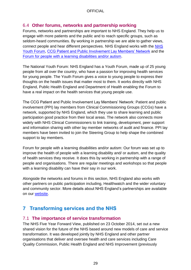# <span id="page-28-0"></span>6.4 **Other forums, networks and partnership working**

Forums, networks and partnerships are important to NHS England. They help us to engage with more patients and the public and to reach specific groups, such as seldom-heard communities. By working in partnership we are able to gather views, connect people and hear different perspectives. NHS England works with the [NHS](https://www.england.nhs.uk/participation/get-involved/how/forums/nhs-youth-forum/)  [Youth Forum,](https://www.england.nhs.uk/participation/get-involved/how/forums/nhs-youth-forum/) [CCG Patient and Public Involvement Lay Members' Network](https://www.england.nhs.uk/participation/get-involved/how/forums/ccglmnetwork/) and the [Forum for people with a learning disabilities and/or autism.](https://www.england.nhs.uk/learning-disabilities/get-involved/forum/)

The National Youth Forum: NHS England has a Youth Forum, made up of 25 young people from all over the country, who have a passion for improving health services for young people. The Youth Forum gives a voice to young people to express their thoughts on the health issues that matter most to them. It works directly with NHS England, Public Health England and Department of Health enabling the Forum to have a real impact on the health services that young people use.

The CCG Patient and Public Involvement Lay Members' Network: Patient and public involvement (PPI) lay members from Clinical Commissioning Groups (CCGs) have a network, supported by NHS England, which they use to share learning and public participation good practice from their local areas. The network also connects more widely with NHS Clinical Commissioners to link training, development, peer support and information sharing with other lay member networks of audit and finance. PPI lay members have been invited to join the Steering Group to help shape the combined support to lay members.

Forum for people with a learning disabilities and/or autism: Our forum was set up to improve the health of people with a learning disability and/ or autism, and the quality of health services they receive. It does this by working in partnership with a range of people and organisations. There are regular meetings and workshops so that people with a learning disability can have their say in our work.

Alongside the networks and forums in this section, NHS England also works with other partners on public participation including, Healthwatch and the wider voluntary and community sector. More details about NHS England's partnerships are available on our **website**.

# <span id="page-28-1"></span>**7 Transforming services and the NHS**

# <span id="page-28-2"></span>7.1 **The importance of service transformation**

The NHS Five Year Forward View, published on 23 October 2014, set out a new shared vision for the future of the NHS based around new models of care and service transformation. It was developed jointly by NHS England and other partner organisations that deliver and oversee health and care services including Care Quality Commission, Public Health England and NHS Improvement (previously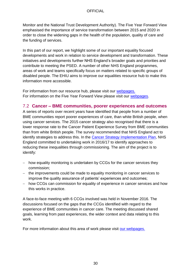Monitor and the National Trust Development Authority). The Five Year Forward View emphasised the importance of service transformation between 2015 and 2020 in order to close the widening gaps in the health of the population, quality of care and the funding of services.

In this part of our report, we highlight some of our important equality focused developments and work in relation to service development and transformation. These initiatives and developments further NHS England's broader goals and priorities and contribute to meeting the PSED. A number of other NHS England programmes, areas of work and teams specifically focus on matters related to specific groups of disabled people. The EHIU aims to improve our equalities resource hub to make this information more accessible.

For information from our resource hub, please visit our [webpages.](https://www.england.nhs.uk/about/equality/equality-hub/edc/) For information on the Five Year Forward View please visit our [webpages.](https://www.england.nhs.uk/ourwork/futurenhs/)

### <span id="page-29-0"></span>7.2 **Cancer – BME communities, poorer experiences and outcomes**

A series of reports over recent years have identified that people from a number of BME communities report poorer experiences of care, than white British people, when using cancer services. The 2015 cancer strategy also recognised that there is a lower response rate to the Cancer Patient Experience Survey from BME communities than from white British people. The survey recommended that NHS England act to identify strategies to address this. In the [Cancer Strategy Implementation Plan,](https://www.england.nhs.uk/cancer/strategy/) NHS England committed to undertaking work in 2016/17 to identify approaches to reducing these inequalities through commissioning. The aim of the project is to identify:

- how equality monitoring is undertaken by CCGs for the cancer services they commission;
- the improvements could be made to equality monitoring in cancer services to improve the quality assurance of patients' experiences and outcomes;
- how CCGs can commission for equality of experience in cancer services and how this works in practice.

A face-to-face meeting with 6 CCGs involved was held in November 2016. The discussions focused on the gaps that the CCGs identified with regard to the experience of BME communities in cancer care. The meeting discussed shared goals, learning from past experiences, the wider context and data relating to this work.

For more information about this area of work please visit [our webpages.](https://www.england.nhs.uk/about/equality/equality-hub/equality-standard/)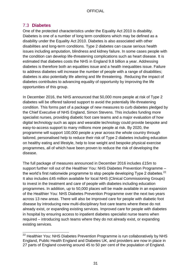# <span id="page-30-0"></span>7.3 **Diabetes**

One of the protected characteristics under the Equality Act 2010 is disability. Diabetes is one of a number of long term conditions which may be defined as a disability under the Equality Act 2010. Diabetes is also associated with other disabilities and long-term conditions. Type 2 diabetes can cause serious health issues including amputation, blindness and kidney failure. In some cases people with the condition can develop life-threatening complications such as heart disease. It is estimated that diabetes costs the NHS in England 9.8 billion a year. Addressing diabetes is therefore both an equalities issue and a health inequalities issue. Failure to address diabetes will increase the number of people with a range of disabilities; diabetes is also potentially life altering and life threatening. Reducing the impact of diabetes contributes to advancing equality of opportunity by improving the life opportunities of this group.

In December 2016, the NHS announced that 50,000 more people at risk of Type 2 diabetes will be offered tailored support to avoid the potentially life-threatening condition. This forms part of a package of new measures to curb diabetes pledged by the Chief Executive of NHS England, Simon Stevens. This includes funding more specialist nurses, providing diabetic foot care teams and a major evaluation of how digital technology such as apps and wearable technology could provide bespoke and easy-to-access support to many millions more people at risk. By 2020, the programme will support 100,000 people a year across the whole country through tailored, personalised help to reduce their risk of Type 2 diabetes including education on healthy eating and lifestyle, help to lose weight and bespoke physical exercise programmes, all of which have been proven to reduce the risk of developing the disease.

The full package of measures announced in December 2016 includes £15m to support further roll out of the Healthier You: NHS Diabetes Prevention Programme – the world's first nationwide programme to stop people developing Type 2 diabetes.<sup>22</sup> It also includes £45 million available for local NHS (Clinical Commissioning Groups) to invest in the treatment and care of people with diabetes including education programmes. In addition, up to 50,000 places will be made available in an expansion of the Healthier You: NHS Diabetes Prevention Programme over the next two years across 13 new areas. There will also be improved care for people with diabetic foot disease by introducing new multi-disciplinary foot care teams where these do not already exist, or expanding existing services. Improved care for people with diabetes in hospital by ensuring access to inpatient diabetes specialist nurse teams when required – introducing such teams where they do not already exist, or expanding existing services.

l  $22$  Healthier You: NHS Diabetes Prevention Programme is run collaboratively by NHS England, Public Health England and Diabetes UK, and providers are now in place in 27 parts of England covering around 45 to 50 per cent of the population of England.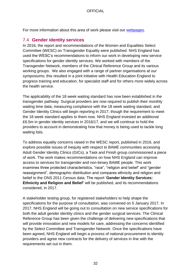For more information about this area of work please visit our [webpages.](https://www.england.nhs.uk/2016/12/tackling-rising-diabetes/)

# <span id="page-31-0"></span>7.4 **Gender identity services**

In 2016, the report and recommendations of the Women and Equalities Select Committee (WESC) on Transgender Equality were published. NHS England has used the WESC's recommendations to inform our work in developing new service specifications for gender identity services. We worked with members of the Transgender Network, members of the Clinical Reference Group and its various working groups. We also engaged with a range of partner organisations at our symposiums; this resulted in a joint initiative with Health Education England to progress training and education, for specialist staff and for others more widely across the health service.

The applicability of the 18 week waiting standard has now been established in the transgender pathway. Surgical providers are now required to publish their monthly waiting time data, measuring compliance with the 18 week waiting standard, and Gender Identity Clinics will begin reporting in 2017; though the requirement to meet the 18 week standard applies to them now. NHS England invested an additional £6.5m in gender identity services in 2016/17, and we will continue to hold the providers to account in demonstrating how that money is being used to tackle long waiting lists.

To address equality concerns raised in the WESC report, published in 2016, and explore possible issues of inequity with respect to BAME communities accessing Adult Gender Identity Clinics (GICs), a Task and Finish group commissioned a piece of work. The work makes recommendations on how NHS England can improve access to services for transgender and non-binary BAME people. This work examines three protected characteristics, "race", "religion and belief" and "gender reassignment", demographic distribution and compares ethnicity and religion and belief to the ONS 2011 Census data. The report '**Gender Identity Services: Ethnicity and Religion and Belief'** will be published, and its recommendations considered, in 2017.

A stakeholder testing group, for registered stakeholders to help shape the specifications for the purpose of consultation, was convened on 5 January 2017. In 2017, NHS England will be going out to consultation on new service specifications for both the adult gender identity clinics and the gender surgical services. The Clinical Reference Group has been given the challenge of delivering new specifications that will provide innovation and new models for care, addressing the concerns identified by the Select Committee and Transgender Network. Once the specifications have been agreed, NHS England will begin a process of national procurement to identity providers and agree new contracts for the delivery of services in line with the requirements set out in them.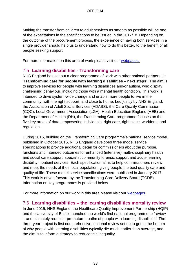Making the transfer from children to adult services as smooth as possible will be one of the expectations in the specifications to be issued in the 2017/18. Depending on the outcome of the procurement process, the experience of having both services in a single provider should help us to understand how to do this better, to the benefit of all people seeking support.

For more information on this area of work please visit our [webpages.](https://www.england.nhs.uk/about/equality/equality-hub/equality-standard/)

### <span id="page-32-0"></span>7.5 **Learning disabilities - Transforming care**

NHS England has set out a clear programme of work with other national partners, in '**Transforming care for people with learning disabilities – next steps'.** The aim is to improve services for people with learning disabilities and/or autism, who display challenging behaviour, including those with a mental health condition. This work is intended to drive system-wide change and enable more people to live in the community, with the right support, and close to home. Led jointly by NHS England, the Association of Adult Social Services (ADASS), the Care Quality Commission (CQC), Local Government Association (LGA), Health Education England (HEE) and the Department of Health (DH), the Transforming Care programme focuses on the five key areas of data, empowering individuals, right care, right place, workforce and regulation.

During 2016, building on the Transforming Care programme's national service model, published in October 2015, NHS England developed three model service specifications to provide additional detail for commissioners about the purpose, functions and intended outcomes for enhanced (intensive) multi-disciplinary health and social care support, specialist community forensic support and acute learning disability inpatient services. Each specification aims to help commissioners review and meet the needs of their local population, giving people the best quality care and quality of life. These model service specifications were published in January 2017. This work is driven forward by the Transforming Care Delivery Board (TCDB). Information on key programmes is provided below.

For more information on our work in this area please visit our [webpages.](https://www.england.nhs.uk/learningdisabilities/care/)

#### <span id="page-32-1"></span>7.6 **Learning disabilities – the learning disabilities mortality review**

In June 2015, NHS England, the Healthcare Quality Improvement Partnership (HQIP) and the University of Bristol launched the world's first national programme to *'*review – and ultimately reduce – premature deaths of people with learning disabilities.' The three-year project is first comprehensive, national review set up to get to the bottom of why people with learning disabilities typically die much earlier than average, and the aim is to inform a strategy to reduce this inequality.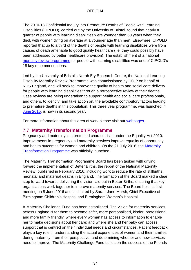The 2010-13 Confidential Inquiry into Premature Deaths of People with Learning Disabilities (CIPOLD), carried out by the University of Bristol, found that nearly a quarter of people with learning disabilities were younger than 50 years when they died, with women dying on average at a younger age than men. Elsewhere, CIPOLD reported that up to a third of the deaths of people with learning disabilities were from causes of death amenable to good quality healthcare (i.e. they could possibly have been addressed by better healthcare provision). The establishment of a national [mortality review programme](https://www.england.nhs.uk/2015/06/reduce-prem-mortality-ld/) for people with learning disabilities was one of CIPOLD's 18 key recommendations.

Led by the University of Bristol's Norah Fry Research Centre, the National Learning Disability Mortality Review Programme was commissioned by HQIP on behalf of NHS England, and will seek to improve the quality of health and social care delivery for people with learning disabilities through a retrospective review of their deaths. Case reviews are being undertaken to support health and social care professionals, and others, to identify, and take action on, the avoidable contributory factors leading to premature deaths in this population. This three year programme, was launched in [June 2015,](https://www.england.nhs.uk/2015/06/reduce-prem-mortality-ld/) is now in its second year.

For more information about this area of work please visit our [webpages.](https://www.england.nhs.uk/about/equality/equality-hub/equality-standard/)

### <span id="page-33-0"></span>7.7 **Maternity Transformation Programme**

Pregnancy and maternity is a protected characteristic under the Equality Act 2010. Improvements in pregnancy and maternity services improve equality of opportunity and health outcomes for women and children. On the 21 July 2016, the [Maternity](https://www.england.nhs.uk/ourwork/futurenhs/mat-transformation/talking-heads/)  **[Transformation Programme](https://www.england.nhs.uk/ourwork/futurenhs/mat-transformation/talking-heads/) was officially launched.** 

The Maternity Transformation Programme Board has been tasked with driving forward the implementation of Better Births, the report of the National Maternity Review, published in February 2016, including work to reduce the rate of stillbirths, neonatal and maternal deaths in England. The formation of the Board marked a clear step forward towards delivering the vision laid out in Better Births, ensuring that key organisations work together to improve maternity services. The Board held its first meeting on 8 June 2016 and is chaired by Sarah-Jane Marsh, Chief Executive of Birmingham Children's Hospital and Birmingham Women's Hospital.

A Maternity Challenge Fund has been established. The vision for maternity services across England is for them to become safer, more personalised, kinder, professional and more family friendly; where every woman has access to information to enable her to make decisions about her care; and where she and her baby can access support that is centred on their individual needs and circumstances. Patient feedback plays a key role in understanding the actual experiences of women and their families during maternity, from their perspective, and determining whether and how services need to improve. The Maternity Challenge Fund builds on the success of the Friends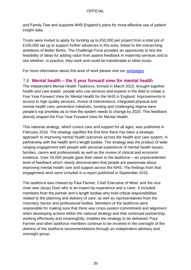and Family Test and supports NHS England's plans for more effective use of patient insight data.

Trusts were invited to apply for funding up to £50,000 per project from a total pot of £100,000 set up to support further advances in this area, linked to the overarching ambitions of Better Births. The Challenge Fund provides an opportunity to test the feasibility of ideas for adding value from patient feedback in maternity services and to see whether, in practice, they work and could be transferable to other trusts.

For more information about this area of work please visit our [webpages.](https://www.england.nhs.uk/ourwork/futurenhs/mat-transformation/)

# <span id="page-34-0"></span>7.8 **Mental health – the 5 year forward view for mental health**

The independent Mental Health Taskforce, formed in March 2015, brought together health and care leader, people who use services and experts in the field to create a Five Year Forward View for Mental Health for the NHS in England. Improvements in access to high quality services, choice of interventions, integrated physical and mental health care, prevention initiatives, funding and challenging stigma were people's top priorities as to how the system needs to change by 2020. This feedback directly shaped the Five Year Forward View for Mental Health.

This national strategy, which covers care and support for all ages, was published in February 2016. The strategy signifies the first time there has been a strategic approach to improving mental health outcomes across the health and care system, in partnership with the health arm's length bodies. The strategy was the product of wide ranging engagement with people with personal experience of mental health issues, families, carers and professionals as well as the review of clinical and economic evidence. Over 20,000 people gave their views to the taskforce – an unprecedented level of feedback which clearly demonstrates that people are passionate about improving mental health care and support across the NHS. The findings from that engagement work were included in a report published in September 2015.

The taskforce was chaired by Paul Farmer, Chief Executive of Mind, and the vice chair was Jacqui Dyer who is an expert-by-experience and a carer. It included members from the partner arm's length bodies who hold critical responsibilities related to the planning and delivery of care, as well as representatives from the Voluntary Sector and professional bodies. Members of the taskforce were responsible for making sure that there was cross-system commitment and alignment when developing actions within the national strategy and that continued partnership, working effectively and meaningfully, enables the strategy to be delivered. Paul Farmer and other taskforce members continue to be involved in the oversight of the delivery of the taskforce recommendations through an independent advisory and oversight group.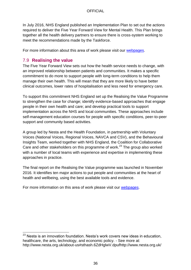In July 2016, NHS England published an Implementation Plan to set out the actions required to deliver the Five Year Forward View for Mental Health. This Plan brings together all the health delivery partners to ensure there is cross-system working to meet the recommendations made by the Taskforce.

For more information about this area of work please visit our [webpages.](https://www.england.nhs.uk/mentalhealth/taskforce/)

# <span id="page-35-0"></span>7.9 **Realising the value**

The Five Year Forward View sets out how the health service needs to change, with an improved relationship between patients and communities. It makes a specific commitment to do more to support people with long-term conditions to help them manage their own health. This will mean that they are more likely to have better clinical outcomes, lower rates of hospitalisation and less need for emergency care.

To support this commitment NHS England set up the Realising the Value Programme to strengthen the case for change; identify evidence-based approaches that engage people in their own health and care; and develop practical tools to support implementation across the NHS and local communities. These approaches include self-management education courses for people with specific conditions, peer-to-peer support and community based activities.

A group led by Nesta and the Health Foundation, in partnership with Voluntary Voices (National Voices, Regional Voices, NAVCA and CSV), and the Behavioural Insights Team, worked together with NHS England, the Coalition for Collaborative Care and other stakeholders on this programme of work.<sup>23</sup> The group also worked with a number of local teams with experience and expertise in implementing these approaches in practice.

The final report on the Realising the Value programme was launched in November 2016. It identifies ten major actions to put people and communities at the heart of health and wellbeing, using the best available tools and evidence.

For more information on this area of work please visit our [webpages.](https://www.england.nhs.uk/ourwork/patient-participation/self-care/value-prog/)

l  $23$  Nesta is an innovation foundation. Nesta's work covers new ideas in education, healthcare, the arts, technology, and economic policy. - See more at: http://www.nesta.org.uk/about-us#sthash.6ZdHglwV.dpufhttp://www.nesta.org.uk/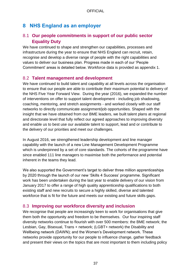# <span id="page-36-0"></span>**8 NHS England as an employer**

# <span id="page-36-1"></span>8.1 **Our people commitments in support of our public sector Equality Duty**

We have continued to shape and strengthen our capabilities, processes and infrastructure during the year to ensure that NHS England can recruit, retain, recognise and develop a diverse range of people with the right capabilities and values to deliver our business plan. Progress made in each of our 'People Commitment' areas is detailed below. Workforce data is provided as appendix 1.

### <span id="page-36-2"></span>8.2 **Talent management and development**

We have continued to build talent and capability at all levels across the organisation to ensure that our people are able to contribute their maximum potential to delivery of the NHS Five Year Forward View. During the year (2016), we expanded the number of interventions on offer to support talent development - including job shadowing, coaching, mentoring, and stretch assignments - and worked closely with our staff networks to directly communicate assignment/job opportunities. Shaped with the insight that we have obtained from our BME leaders, we built talent plans at regional and directorate level that fully reflect our agreed approaches to improving diversity and enable us to best use our available talent to support, lead and or contribute to the delivery of our priorities and meet our challenges.

In August 2016, we strengthened leadership development and line manager capability with the launch of a new Line Management Development Programme which is underpinned by a set of core standards. The cohorts of the programme have since enabled 111 line managers to maximise both the performance and potential inherent in the teams they lead.

We also supported the Government's target to deliver three million apprenticeships by 2020 through the launch of our new 'Skills 4 Success' programme. Significant work has been undertaken during the last year to enable delivery of our vision from January 2017 to offer a range of high quality apprenticeship qualifications to both existing staff and new recruits to secure a highly skilled, diverse and talented workforce that is fit for the future and meets our existing and future skills gaps.

# <span id="page-36-3"></span>8.3 **Improving our workforce diversity and inclusion**

We recognise that people are increasingly keen to work for organisations that give them both the opportunity and freedom to be themselves. Our four inspiring staff diversity networks continue to flourish with over 500 members: the BME network; the Lesbian, Gay, Bisexual, Trans + network; (LGBT+ network) the Disability and Wellbeing network (DAWN); and the Women's Development network. These networks provide opportunity for our people to influence change, gather feedback and present their views on the topics that are most important to them including policy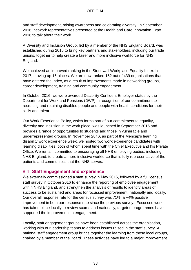and staff development, raising awareness and celebrating diversity. In September 2016, network representatives presented at the Health and Care Innovation Expo 2016 to talk about their work.

A Diversity and Inclusion Group, led by a member of the NHS England Board, was established during 2016 to bring key partners and stakeholders, including our trade unions, together to help create a fairer and more inclusive workforce for NHS England.

We achieved an improved ranking in the Stonewall Workplace Equality Index in 2017, moving up 16 places. We are now ranked 152 out of 439 organisations that have entered the index, as a result of improvements made in networking groups, career development, training and community engagement.

In October 2016, we were awarded Disability Confident Employer status by the Department for Work and Pensions (DWP) in recognition of our commitment to recruiting and retaining disabled people and people with health conditions for their skills and talent.

Our Work Experience Policy, which forms part of our commitment to equality, diversity and inclusion in the work place, was launched in September 2016 and provides a range of opportunities to students and those in vulnerable and underrepresented groups. In November 2016, as part of the Mencap's learning disability work experience week, we hosted two work experience candidates with learning disabilities, both of whom spent time with the Chief Executive and his Private Office. We remain committed to encouraging all NHS employing bodies, including NHS England, to create a more inclusive workforce that is fully representative of the patients and communities that the NHS serves.

# <span id="page-37-0"></span>8.4 **Staff Engagement and experience**

We externally commissioned a staff survey in May 2016, followed by a full 'census' staff survey in October 2016 to enhance the reporting of employee engagement within NHS England, and strengthen the analysis of results to identify areas of success to be sustained and areas for focussed improvement, nationally and locally. Our overall response rate for the census survey was 71%, a +4% positive improvement in both our response rate since the previous survey. Focussed work has taken place locally to review scores and nationally, targeted programmes have supported the improvement in engagement.

Locally, staff engagement groups have been established across the organisation, working with our leadership teams to address issues raised in the staff survey. A national staff engagement group brings together the learning from these local groups, chaired by a member of the Board. These activities have led to a major improvement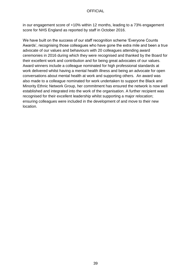in our engagement score of +10% within 12 months, leading to a 73% engagement score for NHS England as reported by staff in October 2016.

We have built on the success of our staff recognition scheme 'Everyone Counts Awards', recognising those colleagues who have gone the extra mile and been a true advocate of our values and behaviours with 20 colleagues attending award ceremonies in 2016 during which they were recognised and thanked by the Board for their excellent work and contribution and for being great advocates of our values. Award winners include a colleague nominated for high professional standards at work delivered whilst having a mental health illness and being an advocate for open conversations about mental health at work and supporting others. An award was also made to a colleague nominated for work undertaken to support the Black and Minority Ethnic Network Group, her commitment has ensured the network is now well established and integrated into the work of the organisation. A further recipient was recognised for their excellent leadership whilst supporting a major relocation; ensuring colleagues were included in the development of and move to their new location.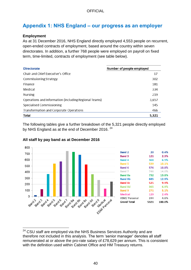# <span id="page-39-0"></span>**Appendix 1: NHS England – our progress as an employer**

#### **Employment**

l

As at 31 December 2016, NHS England directly employed 4,553 people on recurrent, open-ended contracts of employment, based around the country within seven directorates. In addition, a further 768 people were employed on payroll on fixed term, time-limited, contracts of employment (see table below).

| <b>Directorate</b>                                    | Number of people employed |
|-------------------------------------------------------|---------------------------|
| Chair and Chief Executive's Office                    | 17                        |
| Commissioning Strategy                                | 302                       |
| Finance                                               | 181                       |
| Medical                                               | 334                       |
| <b>Nursing</b>                                        | 219                       |
| Operations and Information (including Regional Teams) | 3,657                     |
| <b>Specialised Commissioning</b>                      | 145                       |
| Transformation and Corporate Operations               | 466                       |
| <b>Total</b>                                          | 5,321                     |

The following tables give a further breakdown of the 5,321 people directly employed by NHS England, as at the end of December 2016.  $^{24}$ 



#### **All staff by pay band as at December 2016**

<sup>&</sup>lt;sup>24</sup> CSU staff are employed via the NHS Business Services Authority and are therefore not included in this analysis. The term 'senior manager' denotes all staff remunerated at or above the pro-rate salary of £78,629 per annum. This is consistent with the definition used within Cabinet Office and HM Treasury returns.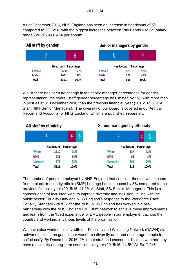As at December 2016, NHS England has seen an increase in headcount of 6% compared to 2015/16, with the biggest increases between Pay Bands 6 to 8c (salary range £26,302-£68,484 per annum).



#### Senior managers by gender



Whilst there has been no change in the senior manager percentages for gender representation, the overall staff gender percentage has shifted by 1%, with more men in post as at 31 December 2016 than the previous financial year (2015/16: 30% All Staff, 48% Senior Managers). The diversity of our Board is covered in our Annual Report and Accounts for NHS England, which are published separately.

#### All staff by ethnicity 73% 14%  $13%$ Headcount Percentage White 3910 73% **BME** 733 14% **Unknown** 13% 678 **Total** 5321 100%

# Senior managers by ethnicity



The number of people employed by NHS England that consider themselves to come from a black or minority ethnic (BME) heritage has increased by 3% compared to the previous financial year (2015/16: 11.2% All Staff, 5% Senior Managers). This is a consequence of focussed work to improve diversity and inclusion, in line with the public sector Equality Duty and NHS England's response to the Workforce Race Equality Standard (WRES) for the NHS. NHS England has worked in close partnership with the NHS England BME staff network to achieve these improvements and learn from the 'lived experience' of BME people in our employment across the country and working at various levels of the organisation.

We have also worked closely with our Disability and Wellbeing Network (DAWN) staff network to close the gaps in our workforce diversity data and encourage people to self-classify. By December 2016, 2% more staff had chosen to disclose whether they have a disability or long-term condition this year (2015/16: 14.5% All Staff, 24%